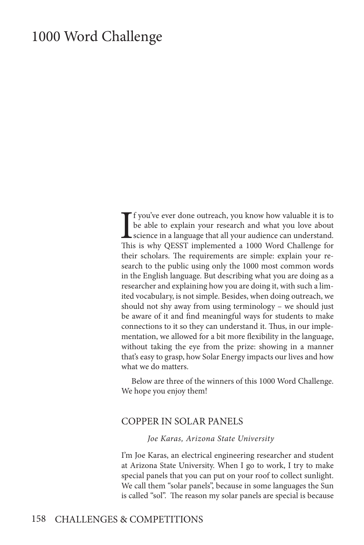# 1000 Word Challenge

I<sub>Thi</sub> f you've ever done outreach, you know how valuable it is to be able to explain your research and what you love about science in a language that all your audience can understand. This is why QESST implemented a 1000 Word Challenge for their scholars. The requirements are simple: explain your research to the public using only the 1000 most common words in the English language. But describing what you are doing as a researcher and explaining how you are doing it, with such a limited vocabulary, is not simple. Besides, when doing outreach, we should not shy away from using terminology – we should just be aware of it and find meaningful ways for students to make connections to it so they can understand it. Thus, in our implementation, we allowed for a bit more flexibility in the language, without taking the eye from the prize: showing in a manner that's easy to grasp, how Solar Energy impacts our lives and how what we do matters.

Below are three of the winners of this 1000 Word Challenge. We hope you enjoy them!

### COPPER IN SOLAR PANELS

#### *Joe Karas, Arizona State University*

I'm Joe Karas, an electrical engineering researcher and student at Arizona State University. When I go to work, I try to make special panels that you can put on your roof to collect sunlight. We call them "solar panels", because in some languages the Sun is called "sol". The reason my solar panels are special is because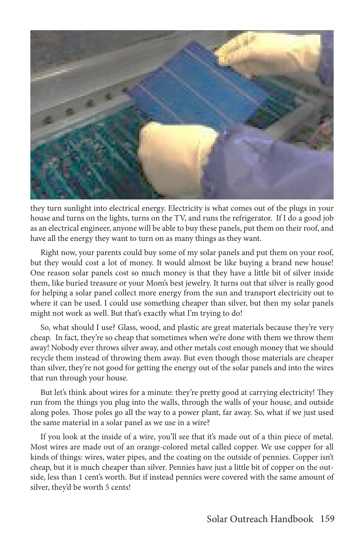

they turn sunlight into electrical energy. Electricity is what comes out of the plugs in your house and turns on the lights, turns on the TV, and runs the refrigerator. If I do a good job as an electrical engineer, anyone will be able to buy these panels, put them on their roof, and have all the energy they want to turn on as many things as they want.

Right now, your parents could buy some of my solar panels and put them on your roof, but they would cost a lot of money. It would almost be like buying a brand new house! One reason solar panels cost so much money is that they have a little bit of silver inside them, like buried treasure or your Mom's best jewelry. It turns out that silver is really good for helping a solar panel collect more energy from the sun and transport electricity out to where it can be used. I could use something cheaper than silver, but then my solar panels might not work as well. But that's exactly what I'm trying to do!

So, what should I use? Glass, wood, and plastic are great materials because they're very cheap. In fact, they're so cheap that sometimes when we're done with them we throw them away! Nobody ever throws silver away, and other metals cost enough money that we should recycle them instead of throwing them away. But even though those materials are cheaper than silver, they're not good for getting the energy out of the solar panels and into the wires that run through your house.

But let's think about wires for a minute: they're pretty good at carrying electricity! They run from the things you plug into the walls, through the walls of your house, and outside along poles. Those poles go all the way to a power plant, far away. So, what if we just used the same material in a solar panel as we use in a wire?

If you look at the inside of a wire, you'll see that it's made out of a thin piece of metal. Most wires are made out of an orange-colored metal called copper. We use copper for all kinds of things: wires, water pipes, and the coating on the outside of pennies. Copper isn't cheap, but it is much cheaper than silver. Pennies have just a little bit of copper on the outside, less than 1 cent's worth. But if instead pennies were covered with the same amount of silver, they'd be worth 5 cents!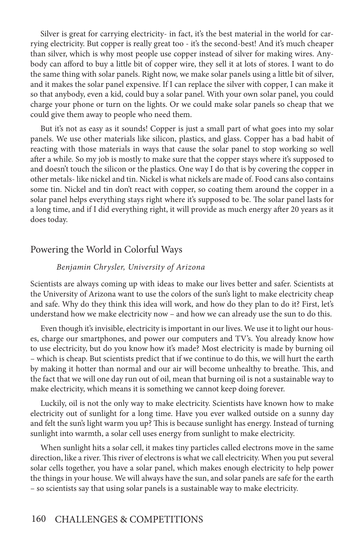Silver is great for carrying electricity- in fact, it's the best material in the world for carrying electricity. But copper is really great too - it's the second-best! And it's much cheaper than silver, which is why most people use copper instead of silver for making wires. Anybody can afford to buy a little bit of copper wire, they sell it at lots of stores. I want to do the same thing with solar panels. Right now, we make solar panels using a little bit of silver, and it makes the solar panel expensive. If I can replace the silver with copper, I can make it so that anybody, even a kid, could buy a solar panel. With your own solar panel, you could charge your phone or turn on the lights. Or we could make solar panels so cheap that we could give them away to people who need them.

But it's not as easy as it sounds! Copper is just a small part of what goes into my solar panels. We use other materials like silicon, plastics, and glass. Copper has a bad habit of reacting with those materials in ways that cause the solar panel to stop working so well after a while. So my job is mostly to make sure that the copper stays where it's supposed to and doesn't touch the silicon or the plastics. One way I do that is by covering the copper in other metals- like nickel and tin. Nickel is what nickels are made of. Food cans also contains some tin. Nickel and tin don't react with copper, so coating them around the copper in a solar panel helps everything stays right where it's supposed to be. The solar panel lasts for a long time, and if I did everything right, it will provide as much energy after 20 years as it does today.

### Powering the World in Colorful Ways

#### *Benjamin Chrysler, University of Arizona*

Scientists are always coming up with ideas to make our lives better and safer. Scientists at the University of Arizona want to use the colors of the sun's light to make electricity cheap and safe. Why do they think this idea will work, and how do they plan to do it? First, let's understand how we make electricity now – and how we can already use the sun to do this.

Even though it's invisible, electricity is important in our lives. We use it to light our houses, charge our smartphones, and power our computers and TV's. You already know how to use electricity, but do you know how it's made? Most electricity is made by burning oil – which is cheap. But scientists predict that if we continue to do this, we will hurt the earth by making it hotter than normal and our air will become unhealthy to breathe. This, and the fact that we will one day run out of oil, mean that burning oil is not a sustainable way to make electricity, which means it is something we cannot keep doing forever.

Luckily, oil is not the only way to make electricity. Scientists have known how to make electricity out of sunlight for a long time. Have you ever walked outside on a sunny day and felt the sun's light warm you up? This is because sunlight has energy. Instead of turning sunlight into warmth, a solar cell uses energy from sunlight to make electricity.

When sunlight hits a solar cell, it makes tiny particles called electrons move in the same direction, like a river. This river of electrons is what we call electricity. When you put several solar cells together, you have a solar panel, which makes enough electricity to help power the things in your house. We will always have the sun, and solar panels are safe for the earth – so scientists say that using solar panels is a sustainable way to make electricity.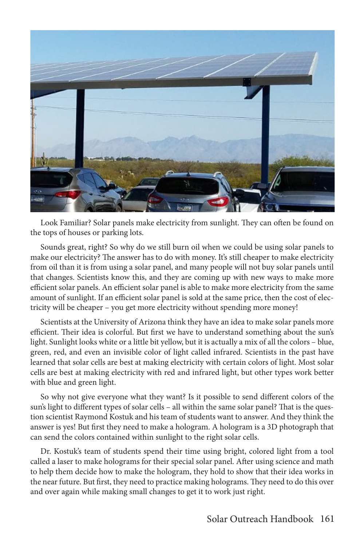

Look Familiar? Solar panels make electricity from sunlight. They can often be found on the tops of houses or parking lots.

Sounds great, right? So why do we still burn oil when we could be using solar panels to make our electricity? The answer has to do with money. It's still cheaper to make electricity from oil than it is from using a solar panel, and many people will not buy solar panels until that changes. Scientists know this, and they are coming up with new ways to make more efficient solar panels. An efficient solar panel is able to make more electricity from the same amount of sunlight. If an efficient solar panel is sold at the same price, then the cost of electricity will be cheaper – you get more electricity without spending more money!

Scientists at the University of Arizona think they have an idea to make solar panels more efficient. Their idea is colorful. But first we have to understand something about the sun's light. Sunlight looks white or a little bit yellow, but it is actually a mix of all the colors – blue, green, red, and even an invisible color of light called infrared. Scientists in the past have learned that solar cells are best at making electricity with certain colors of light. Most solar cells are best at making electricity with red and infrared light, but other types work better with blue and green light.

So why not give everyone what they want? Is it possible to send different colors of the sun's light to different types of solar cells – all within the same solar panel? That is the question scientist Raymond Kostuk and his team of students want to answer. And they think the answer is yes! But first they need to make a hologram. A hologram is a 3D photograph that can send the colors contained within sunlight to the right solar cells.

Dr. Kostuk's team of students spend their time using bright, colored light from a tool called a laser to make holograms for their special solar panel. After using science and math to help them decide how to make the hologram, they hold to show that their idea works in the near future. But first, they need to practice making holograms. They need to do this over and over again while making small changes to get it to work just right.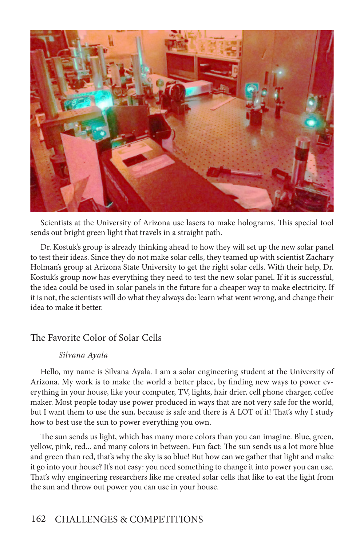

Scientists at the University of Arizona use lasers to make holograms. This special tool sends out bright green light that travels in a straight path.

Dr. Kostuk's group is already thinking ahead to how they will set up the new solar panel to test their ideas. Since they do not make solar cells, they teamed up with scientist Zachary Holman's group at Arizona State University to get the right solar cells. With their help, Dr. Kostuk's group now has everything they need to test the new solar panel. If it is successful, the idea could be used in solar panels in the future for a cheaper way to make electricity. If it is not, the scientists will do what they always do: learn what went wrong, and change their idea to make it better.

### The Favorite Color of Solar Cells

#### *Silvana Ayala*

Hello, my name is Silvana Ayala. I am a solar engineering student at the University of Arizona. My work is to make the world a better place, by finding new ways to power everything in your house, like your computer, TV, lights, hair drier, cell phone charger, coffee maker. Most people today use power produced in ways that are not very safe for the world, but I want them to use the sun, because is safe and there is A LOT of it! That's why I study how to best use the sun to power everything you own.

The sun sends us light, which has many more colors than you can imagine. Blue, green, yellow, pink, red... and many colors in between. Fun fact: The sun sends us a lot more blue and green than red, that's why the sky is so blue! But how can we gather that light and make it go into your house? It's not easy: you need something to change it into power you can use. That's why engineering researchers like me created solar cells that like to eat the light from the sun and throw out power you can use in your house.

## 162 CHALLENGES & COMPETITIONS